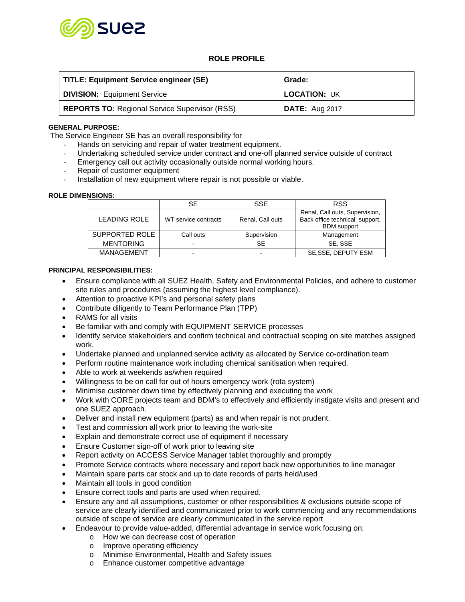

# **ROLE PROFILE**

| TITLE: Equipment Service engineer (SE)               | Grade:                |  |
|------------------------------------------------------|-----------------------|--|
| <b>DIVISION: Equipment Service</b>                   | <b>LOCATION: UK</b>   |  |
| <b>REPORTS TO: Regional Service Supervisor (RSS)</b> | <b>DATE:</b> Aug 2017 |  |

### **GENERAL PURPOSE:**

The Service Engineer SE has an overall responsibility for

- Hands on servicing and repair of water treatment equipment.
- Undertaking scheduled service under contract and one-off planned service outside of contract
- Emergency call out activity occasionally outside normal working hours.
- Repair of customer equipment
- Installation of new equipment where repair is not possible or viable.

### **ROLE DIMENSIONS:**

|                     | SE                       | <b>SSE</b>       | <b>RSS</b>                                                                             |
|---------------------|--------------------------|------------------|----------------------------------------------------------------------------------------|
| <b>LEADING ROLE</b> | WT service contracts     | Renal, Call outs | Renal, Call outs, Supervision,<br>Back office technical support,<br><b>BDM</b> support |
| SUPPORTED ROLE      | Call outs                | Supervision      | Management                                                                             |
| <b>MENTORING</b>    | $\blacksquare$           | SE               | SE, SSE                                                                                |
| <b>MANAGEMENT</b>   | $\overline{\phantom{0}}$ | -                | SE, SSE, DEPUTY ESM                                                                    |

### **PRINCIPAL RESPONSIBILITIES:**

- Ensure compliance with all SUEZ Health, Safety and Environmental Policies, and adhere to customer site rules and procedures (assuming the highest level compliance).
- Attention to proactive KPI's and personal safety plans
- Contribute diligently to Team Performance Plan (TPP)
- RAMS for all visits
- Be familiar with and comply with EQUIPMENT SERVICE processes
- Identify service stakeholders and confirm technical and contractual scoping on site matches assigned work.
- Undertake planned and unplanned service activity as allocated by Service co-ordination team
- Perform routine maintenance work including chemical sanitisation when required.
- Able to work at weekends as/when required
- Willingness to be on call for out of hours emergency work (rota system)
- Minimise customer down time by effectively planning and executing the work
- Work with CORE projects team and BDM's to effectively and efficiently instigate visits and present and one SUEZ approach.
- Deliver and install new equipment (parts) as and when repair is not prudent.
- Test and commission all work prior to leaving the work-site
- Explain and demonstrate correct use of equipment if necessary
- Ensure Customer sign-off of work prior to leaving site
- Report activity on ACCESS Service Manager tablet thoroughly and promptly
- Promote Service contracts where necessary and report back new opportunities to line manager
- Maintain spare parts car stock and up to date records of parts held/used
- Maintain all tools in good condition
- Ensure correct tools and parts are used when required.
- Ensure any and all assumptions, customer or other responsibilities & exclusions outside scope of service are clearly identified and communicated prior to work commencing and any recommendations outside of scope of service are clearly communicated in the service report
- Endeavour to provide value-added, differential advantage in service work focusing on:
	- o How we can decrease cost of operation
	- o Improve operating efficiency
	- o Minimise Environmental, Health and Safety issues
	- o Enhance customer competitive advantage